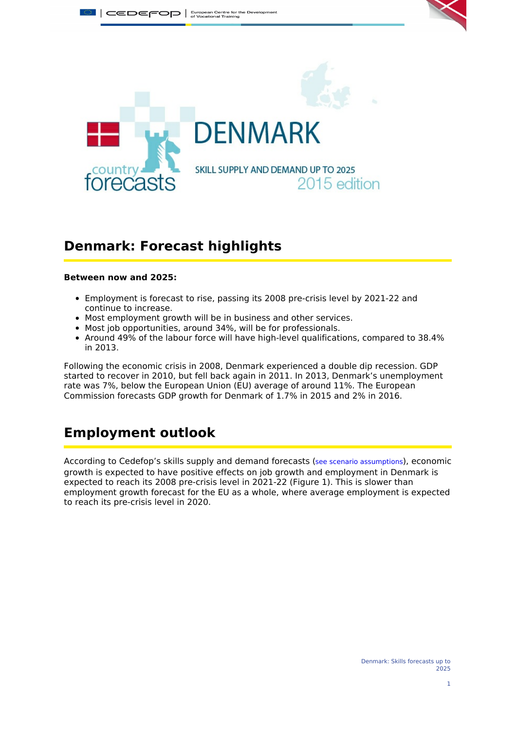

# **Denmark: Forecast highlights**

#### **Between now and 2025:**

- Employment is forecast to rise, passing its 2008 pre-crisis level by 2021-22 and continue to increase.
- Most employment growth will be in business and other services.
- Most job opportunities, around 34%, will be for professionals.
- Around 49% of the labour force will have high-level qualifications, compared to 38.4% in 2013.

Following the economic crisis in 2008, Denmark experienced a double dip recession. GDP started to recover in 2010, but fell back again in 2011. In 2013, Denmark's unemployment rate was 7%, below the European Union (EU) average of around 11%. The European Commission forecasts GDP growth for Denmark of 1.7% in 2015 and 2% in 2016.

# **Employment outlook**

According to Cedefop's skills supply and demand forecasts (see scenario [assumptions](#page-6-0)), economic growth is expected to have positive effects on job growth and employment in Denmark is expected to reach its 2008 pre-crisis level in 2021-22 (Figure 1). This is slower than employment growth forecast for the EU as a whole, where average employment is expected to reach its pre-crisis level in 2020.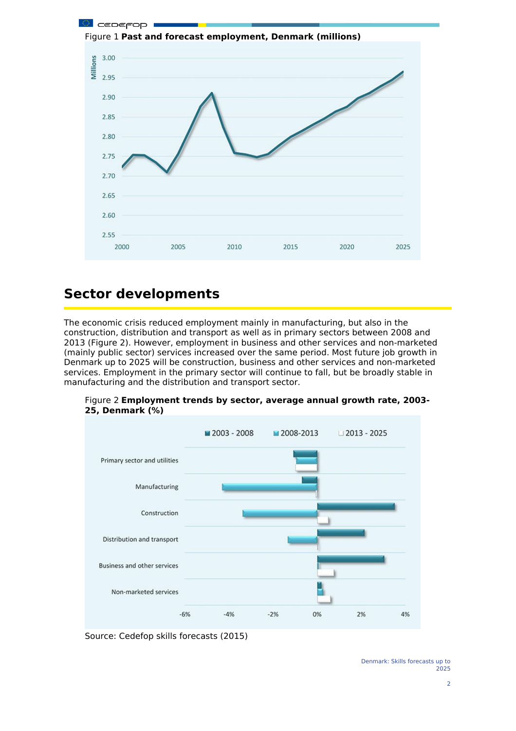

# **Sector developments**

The economic crisis reduced employment mainly in manufacturing, but also in the construction, distribution and transport as well as in primary sectors between 2008 and 2013 (Figure 2). However, employment in business and other services and non-marketed (mainly public sector) services increased over the same period. Most future job growth in Denmark up to 2025 will be construction, business and other services and non-marketed services. Employment in the primary sector will continue to fall, but be broadly stable in manufacturing and the distribution and transport sector.



Figure 2 **Employment trends by sector, average annual growth rate, 2003- 25, Denmark (%)**

Source: Cedefop skills forecasts (2015)

Denmark: Skills forecasts up to 2025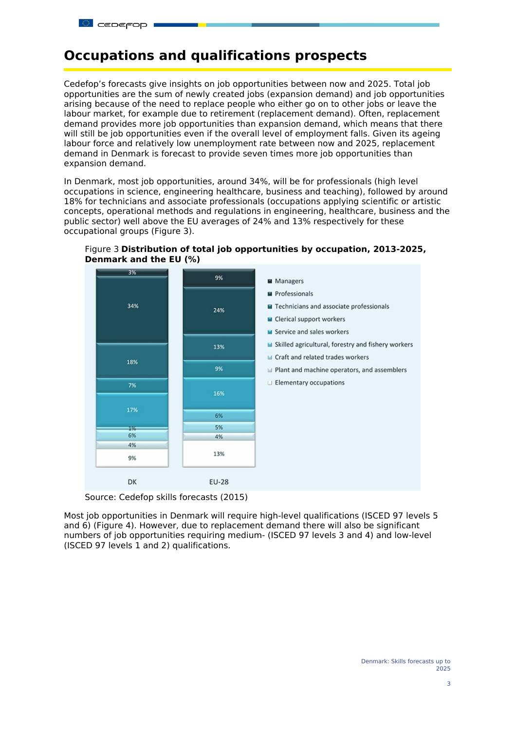### **Occupations and qualifications prospects**

Cedefop's forecasts give insights on job opportunities between now and 2025. Total job opportunities are the sum of newly created jobs (expansion demand) and job opportunities arising because of the need to replace people who either go on to other jobs or leave the labour market, for example due to retirement (replacement demand). Often, replacement demand provides more job opportunities than expansion demand, which means that there will still be job opportunities even if the overall level of employment falls. Given its ageing labour force and relatively low unemployment rate between now and 2025, replacement demand in Denmark is forecast to provide seven times more job opportunities than expansion demand.

In Denmark, most job opportunities, around 34%, will be for professionals (high level occupations in science, engineering healthcare, business and teaching), followed by around 18% for technicians and associate professionals (occupations applying scientific or artistic concepts, operational methods and regulations in engineering, healthcare, business and the public sector) well above the EU averages of 24% and 13% respectively for these occupational groups (Figure 3).



Figure 3 **Distribution of total job opportunities by occupation, 2013-2025, Denmark and the EU (%)**

Source: Cedefop skills forecasts (2015)

Most job opportunities in Denmark will require high-level qualifications (ISCED 97 levels 5 and 6) (Figure 4). However, due to replacement demand there will also be significant numbers of job opportunities requiring medium- (ISCED 97 levels 3 and 4) and low-level (ISCED 97 levels 1 and 2) qualifications.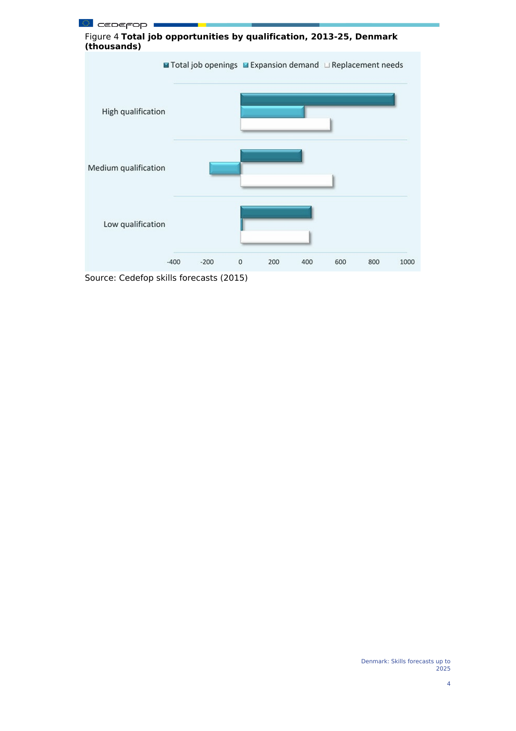

Source: Cedefop skills forecasts (2015)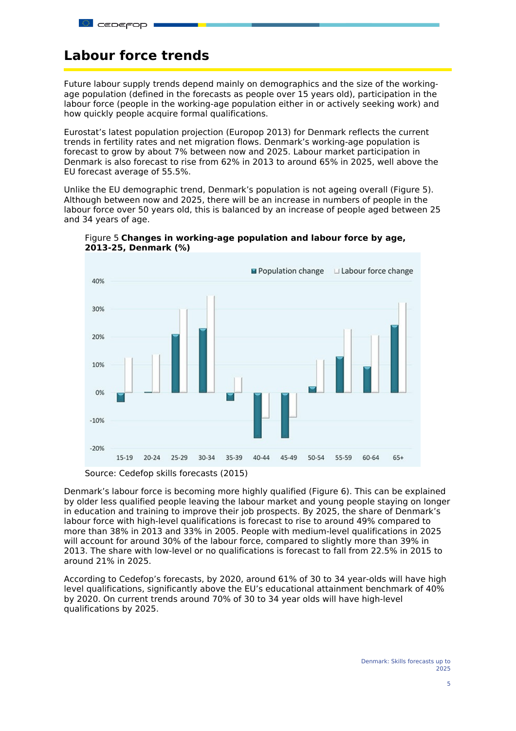# **Labour force trends**

Future labour supply trends depend mainly on demographics and the size of the workingage population (defined in the forecasts as people over 15 years old), participation in the labour force (people in the working-age population either in or actively seeking work) and how quickly people acquire formal qualifications.

Eurostat's latest population projection (Europop 2013) for Denmark reflects the current trends in fertility rates and net migration flows. Denmark's working-age population is forecast to grow by about 7% between now and 2025. Labour market participation in Denmark is also forecast to rise from 62% in 2013 to around 65% in 2025, well above the EU forecast average of 55.5%.

Unlike the EU demographic trend, Denmark's population is not ageing overall (Figure 5). Although between now and 2025, there will be an increase in numbers of people in the labour force over 50 years old, this is balanced by an increase of people aged between 25 and 34 years of age.



Figure 5 **Changes in working-age population and labour force by age, 2013-25, Denmark (%)**

Denmark's labour force is becoming more highly qualified (Figure 6). This can be explained by older less qualified people leaving the labour market and young people staying on longer in education and training to improve their job prospects. By 2025, the share of Denmark's labour force with high-level qualifications is forecast to rise to around 49% compared to more than 38% in 2013 and 33% in 2005. People with medium-level qualifications in 2025 will account for around 30% of the labour force, compared to slightly more than 39% in 2013. The share with low-level or no qualifications is forecast to fall from 22.5% in 2015 to around 21% in 2025.

According to Cedefop's forecasts, by 2020, around 61% of 30 to 34 year-olds will have high level qualifications, significantly above the EU's educational attainment benchmark of 40% by 2020. On current trends around 70% of 30 to 34 year olds will have high-level qualifications by 2025.

Source: Cedefop skills forecasts (2015)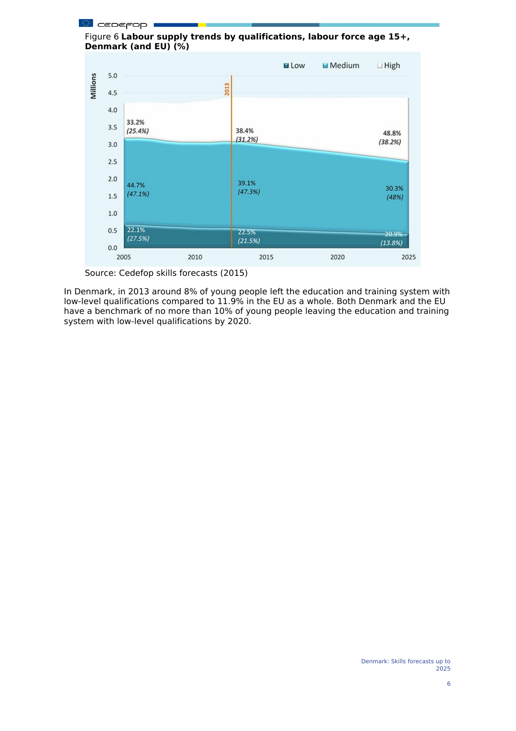

Source: Cedefop skills forecasts (2015)

In Denmark, in 2013 around 8% of young people left the education and training system with low-level qualifications compared to 11.9% in the EU as a whole. Both Denmark and the EU have a benchmark of no more than 10% of young people leaving the education and training system with low-level qualifications by 2020.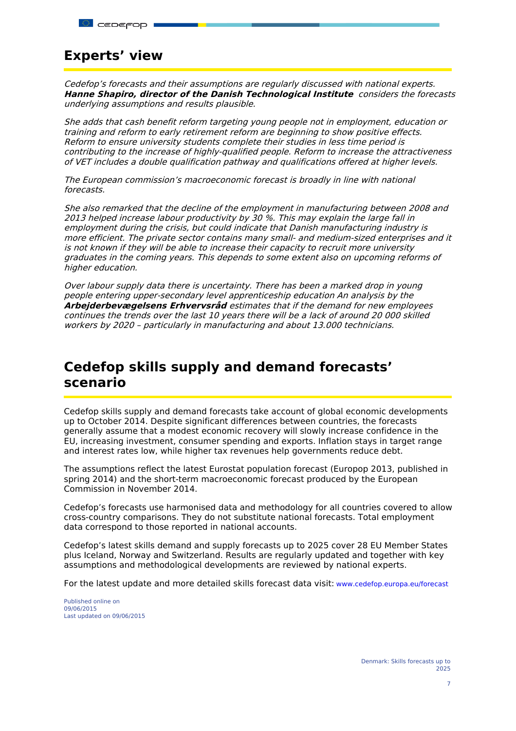# **Experts' view**

Cedefop's forecasts and their assumptions are regularly discussed with national experts. **Hanne Shapiro, director of the Danish Technological Institute** considers the forecasts underlying assumptions and results plausible.

She adds that cash benefit reform targeting young people not in employment, education or training and reform to early retirement reform are beginning to show positive effects. Reform to ensure university students complete their studies in less time period is contributing to the increase of highly-qualified people. Reform to increase the attractiveness of VET includes <sup>a</sup> double qualification pathway and qualifications offered at higher levels.

The European commission's macroeconomic forecast is broadly in line with national forecasts.

She also remarked that the decline of the employment in manufacturing between 2008 and 2013 helped increase labour productivity by 30 %. This may explain the large fall in employment during the crisis, but could indicate that Danish manufacturing industry is more efficient. The private sector contains many small- and medium-sized enterprises and it is not known if they will be able to increase their capacity to recruit more university graduates in the coming years. This depends to some extent also on upcoming reforms of higher education.

Over labour supply data there is uncertainty. There has been <sup>a</sup> marked drop in young people entering upper-secondary level apprenticeship education An analysis by the **Arbejderbevægelsens Erhvervsråd** estimates that if the demand for new employees continues the trends over the last 10 years there will be <sup>a</sup> lack of around 20 000 skilled workers by 2020 – particularly in manufacturing and about 13.000 technicians.

# <span id="page-6-0"></span>**Cedefop skills supply and demand forecasts' scenario**

Cedefop skills supply and demand forecasts take account of global economic developments up to October 2014. Despite significant differences between countries, the forecasts generally assume that a modest economic recovery will slowly increase confidence in the EU, increasing investment, consumer spending and exports. Inflation stays in target range and interest rates low, while higher tax revenues help governments reduce debt.

The assumptions reflect the latest Eurostat population forecast (Europop 2013, published in spring 2014) and the short-term macroeconomic forecast produced by the European Commission in November 2014.

Cedefop's forecasts use harmonised data and methodology for all countries covered to allow cross-country comparisons. They do not substitute national forecasts. Total employment data correspond to those reported in national accounts.

Cedefop's latest skills demand and supply forecasts up to 2025 cover 28 EU Member States plus Iceland, Norway and Switzerland. Results are regularly updated and together with key assumptions and methodological developments are reviewed by national experts.

For the latest update and more detailed skills forecast data visit: [www.cedefop.europa.eu/forecast](http://www.cedefop.europa.eu/forecast)

Published online on 09/06/2015 Last updated on 09/06/2015